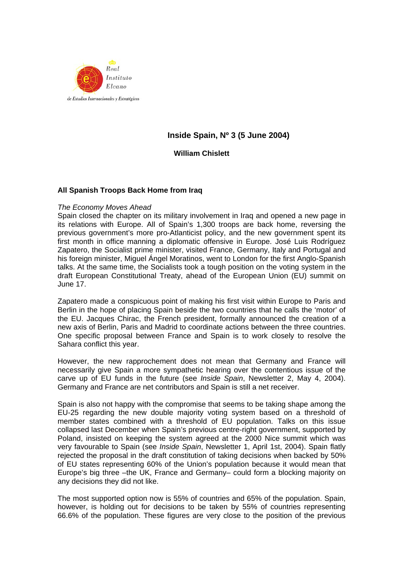

# **Inside Spain, Nº 3 (5 June 2004)**

## **William Chislett**

### **All Spanish Troops Back Home from Iraq**

#### *The Economy Moves Ahead*

Spain closed the chapter on its military involvement in Iraq and opened a new page in its relations with Europe. All of Spain's 1,300 troops are back home, reversing the previous government's more pro-Atlanticist policy, and the new government spent its first month in office manning a diplomatic offensive in Europe. José Luis Rodríguez Zapatero, the Socialist prime minister, visited France, Germany, Italy and Portugal and his foreign minister, Miguel Ángel Moratinos, went to London for the first Anglo-Spanish talks. At the same time, the Socialists took a tough position on the voting system in the draft European Constitutional Treaty, ahead of the European Union (EU) summit on June 17.

Zapatero made a conspicuous point of making his first visit within Europe to Paris and Berlin in the hope of placing Spain beside the two countries that he calls the 'motor' of the EU. Jacques Chirac, the French president, formally announced the creation of a new axis of Berlin, Paris and Madrid to coordinate actions between the three countries. One specific proposal between France and Spain is to work closely to resolve the Sahara conflict this year.

However, the new rapprochement does not mean that Germany and France will necessarily give Spain a more sympathetic hearing over the contentious issue of the carve up of EU funds in the future (see *Inside Spain*, Newsletter 2, May 4, 2004). Germany and France are net contributors and Spain is still a net receiver.

Spain is also not happy with the compromise that seems to be taking shape among the EU-25 regarding the new double majority voting system based on a threshold of member states combined with a threshold of EU population. Talks on this issue collapsed last December when Spain's previous centre-right government, supported by Poland, insisted on keeping the system agreed at the 2000 Nice summit which was very favourable to Spain (see *Inside Spain*, Newsletter 1, April 1st, 2004). Spain flatly rejected the proposal in the draft constitution of taking decisions when backed by 50% of EU states representing 60% of the Union's population because it would mean that Europe's big three –the UK, France and Germany– could form a blocking majority on any decisions they did not like.

The most supported option now is 55% of countries and 65% of the population. Spain, however, is holding out for decisions to be taken by 55% of countries representing 66.6% of the population. These figures are very close to the position of the previous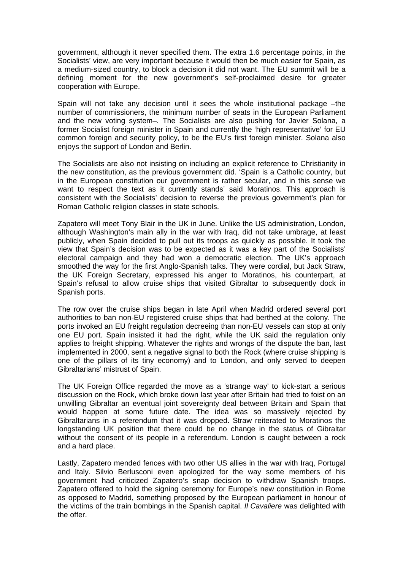government, although it never specified them. The extra 1.6 percentage points, in the Socialists' view, are very important because it would then be much easier for Spain, as a medium-sized country, to block a decision it did not want. The EU summit will be a defining moment for the new government's self-proclaimed desire for greater cooperation with Europe.

Spain will not take any decision until it sees the whole institutional package –the number of commissioners, the minimum number of seats in the European Parliament and the new voting system–. The Socialists are also pushing for Javier Solana, a former Socialist foreign minister in Spain and currently the 'high representative' for EU common foreign and security policy, to be the EU's first foreign minister. Solana also enjoys the support of London and Berlin.

The Socialists are also not insisting on including an explicit reference to Christianity in the new constitution, as the previous government did. 'Spain is a Catholic country, but in the European constitution our government is rather secular, and in this sense we want to respect the text as it currently stands' said Moratinos. This approach is consistent with the Socialists' decision to reverse the previous government's plan for Roman Catholic religion classes in state schools.

Zapatero will meet Tony Blair in the UK in June. Unlike the US administration, London, although Washington's main ally in the war with Iraq, did not take umbrage, at least publicly, when Spain decided to pull out its troops as quickly as possible. It took the view that Spain's decision was to be expected as it was a key part of the Socialists' electoral campaign and they had won a democratic election. The UK's approach smoothed the way for the first Anglo-Spanish talks. They were cordial, but Jack Straw, the UK Foreign Secretary, expressed his anger to Moratinos, his counterpart, at Spain's refusal to allow cruise ships that visited Gibraltar to subsequently dock in Spanish ports.

The row over the cruise ships began in late April when Madrid ordered several port authorities to ban non-EU registered cruise ships that had berthed at the colony. The ports invoked an EU freight regulation decreeing than non-EU vessels can stop at only one EU port. Spain insisted it had the right, while the UK said the regulation only applies to freight shipping. Whatever the rights and wrongs of the dispute the ban, last implemented in 2000, sent a negative signal to both the Rock (where cruise shipping is one of the pillars of its tiny economy) and to London, and only served to deepen Gibraltarians' mistrust of Spain.

The UK Foreign Office regarded the move as a 'strange way' to kick-start a serious discussion on the Rock, which broke down last year after Britain had tried to foist on an unwilling Gibraltar an eventual joint sovereignty deal between Britain and Spain that would happen at some future date. The idea was so massively rejected by Gibraltarians in a referendum that it was dropped. Straw reiterated to Moratinos the longstanding UK position that there could be no change in the status of Gibraltar without the consent of its people in a referendum. London is caught between a rock and a hard place.

Lastly, Zapatero mended fences with two other US allies in the war with Iraq, Portugal and Italy. Silvio Berlusconi even apologized for the way some members of his government had criticized Zapatero's snap decision to withdraw Spanish troops. Zapatero offered to hold the signing ceremony for Europe's new constitution in Rome as opposed to Madrid, something proposed by the European parliament in honour of the victims of the train bombings in the Spanish capital. *Il Cavaliere* was delighted with the offer.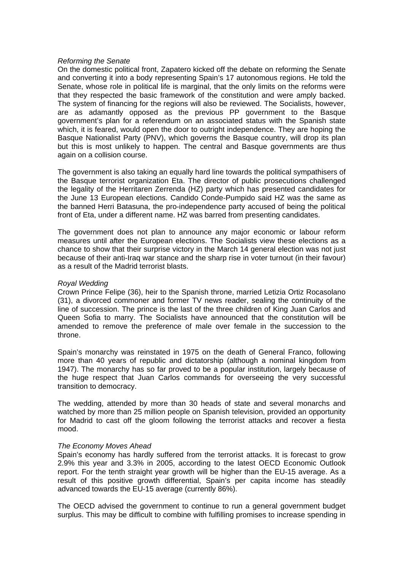### *Reforming the Senate*

On the domestic political front, Zapatero kicked off the debate on reforming the Senate and converting it into a body representing Spain's 17 autonomous regions. He told the Senate, whose role in political life is marginal, that the only limits on the reforms were that they respected the basic framework of the constitution and were amply backed. The system of financing for the regions will also be reviewed. The Socialists, however, are as adamantly opposed as the previous PP government to the Basque government's plan for a referendum on an associated status with the Spanish state which, it is feared, would open the door to outright independence. They are hoping the Basque Nationalist Party (PNV), which governs the Basque country, will drop its plan but this is most unlikely to happen. The central and Basque governments are thus again on a collision course.

The government is also taking an equally hard line towards the political sympathisers of the Basque terrorist organization Eta. The director of public prosecutions challenged the legality of the Herritaren Zerrenda (HZ) party which has presented candidates for the June 13 European elections. Candido Conde-Pumpido said HZ was the same as the banned Herri Batasuna, the pro-independence party accused of being the political front of Eta, under a different name. HZ was barred from presenting candidates.

The government does not plan to announce any major economic or labour reform measures until after the European elections. The Socialists view these elections as a chance to show that their surprise victory in the March 14 general election was not just because of their anti-Iraq war stance and the sharp rise in voter turnout (in their favour) as a result of the Madrid terrorist blasts.

#### *Royal Wedding*

Crown Prince Felipe (36), heir to the Spanish throne, married Letizia Ortiz Rocasolano (31), a divorced commoner and former TV news reader, sealing the continuity of the line of succession. The prince is the last of the three children of King Juan Carlos and Queen Sofia to marry. The Socialists have announced that the constitution will be amended to remove the preference of male over female in the succession to the throne.

Spain's monarchy was reinstated in 1975 on the death of General Franco, following more than 40 years of republic and dictatorship (although a nominal kingdom from 1947). The monarchy has so far proved to be a popular institution, largely because of the huge respect that Juan Carlos commands for overseeing the very successful transition to democracy.

The wedding, attended by more than 30 heads of state and several monarchs and watched by more than 25 million people on Spanish television, provided an opportunity for Madrid to cast off the gloom following the terrorist attacks and recover a fiesta mood.

#### *The Economy Moves Ahead*

Spain's economy has hardly suffered from the terrorist attacks. It is forecast to grow 2.9% this year and 3.3% in 2005, according to the latest OECD Economic Outlook report. For the tenth straight year growth will be higher than the EU-15 average. As a result of this positive growth differential, Spain's per capita income has steadily advanced towards the EU-15 average (currently 86%).

The OECD advised the government to continue to run a general government budget surplus. This may be difficult to combine with fulfilling promises to increase spending in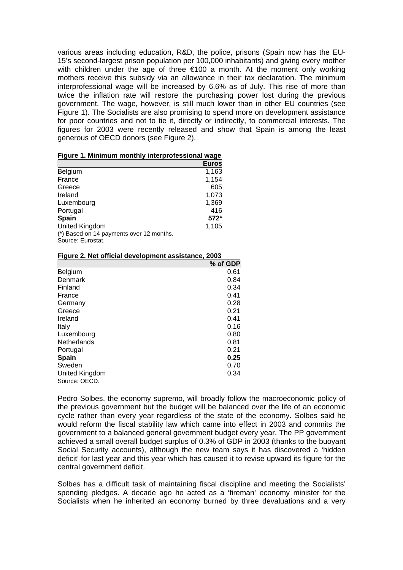various areas including education, R&D, the police, prisons (Spain now has the EU-15's second-largest prison population per 100,000 inhabitants) and giving every mother with children under the age of three €100 a month. At the moment only working mothers receive this subsidy via an allowance in their tax declaration. The minimum interprofessional wage will be increased by 6.6% as of July. This rise of more than twice the inflation rate will restore the purchasing power lost during the previous government. The wage, however, is still much lower than in other EU countries (see Figure 1). The Socialists are also promising to spend more on development assistance for poor countries and not to tie it, directly or indirectly, to commercial interests. The figures for 2003 were recently released and show that Spain is among the least generous of OECD donors (see Figure 2).

|                                                               | <b>Euros</b> |
|---------------------------------------------------------------|--------------|
| <b>Belgium</b>                                                | 1,163        |
| France                                                        | 1,154        |
| Greece                                                        | 605          |
| Ireland                                                       | 1,073        |
| Luxembourg                                                    | 1,369        |
| Portugal                                                      | 416          |
| Spain                                                         | 572*         |
| United Kingdom                                                | 1,105        |
| (*) Based on 14 payments over 12 months.<br>Source: Eurostat. |              |

#### **Figure 2. Net official development assistance, 2003**

|                    | % of GDP |
|--------------------|----------|
| Belgium            | 0.61     |
| Denmark            | 0.84     |
| Finland            | 0.34     |
| France             | 0.41     |
| Germany            | 0.28     |
| Greece             | 0.21     |
| Ireland            | 0.41     |
| Italy              | 0.16     |
| Luxembourg         | 0.80     |
| <b>Netherlands</b> | 0.81     |
| Portugal           | 0.21     |
| <b>Spain</b>       | 0.25     |
| Sweden             | 0.70     |
| United Kingdom     | 0.34     |
| Source: OECD.      |          |

Pedro Solbes, the economy supremo, will broadly follow the macroeconomic policy of the previous government but the budget will be balanced over the life of an economic cycle rather than every year regardless of the state of the economy. Solbes said he would reform the fiscal stability law which came into effect in 2003 and commits the government to a balanced general government budget every year. The PP government achieved a small overall budget surplus of 0.3% of GDP in 2003 (thanks to the buoyant Social Security accounts), although the new team says it has discovered a 'hidden deficit' for last year and this year which has caused it to revise upward its figure for the central government deficit.

Solbes has a difficult task of maintaining fiscal discipline and meeting the Socialists' spending pledges. A decade ago he acted as a 'fireman' economy minister for the Socialists when he inherited an economy burned by three devaluations and a very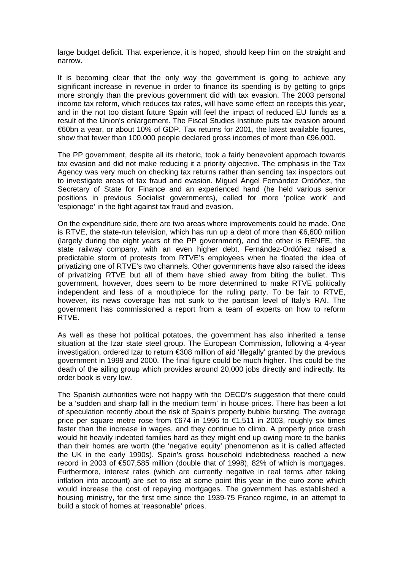large budget deficit. That experience, it is hoped, should keep him on the straight and narrow.

It is becoming clear that the only way the government is going to achieve any significant increase in revenue in order to finance its spending is by getting to grips more strongly than the previous government did with tax evasion. The 2003 personal income tax reform, which reduces tax rates, will have some effect on receipts this year, and in the not too distant future Spain will feel the impact of reduced EU funds as a result of the Union's enlargement. The Fiscal Studies Institute puts tax evasion around €60bn a year, or about 10% of GDP. Tax returns for 2001, the latest available figures, show that fewer than 100,000 people declared gross incomes of more than €96,000.

The PP government, despite all its rhetoric, took a fairly benevolent approach towards tax evasion and did not make reducing it a priority objective. The emphasis in the Tax Agency was very much on checking tax returns rather than sending tax inspectors out to investigate areas of tax fraud and evasion. Miguel Ángel Fernández Ordóñez, the Secretary of State for Finance and an experienced hand (he held various senior positions in previous Socialist governments), called for more 'police work' and 'espionage' in the fight against tax fraud and evasion.

On the expenditure side, there are two areas where improvements could be made. One is RTVE, the state-run television, which has run up a debt of more than €6,600 million (largely during the eight years of the PP government), and the other is RENFE, the state railway company, with an even higher debt. Fernández-Ordóñez raised a predictable storm of protests from RTVE's employees when he floated the idea of privatizing one of RTVE's two channels. Other governments have also raised the ideas of privatizing RTVE but all of them have shied away from biting the bullet. This government, however, does seem to be more determined to make RTVE politically independent and less of a mouthpiece for the ruling party. To be fair to RTVE, however, its news coverage has not sunk to the partisan level of Italy's RAI. The government has commissioned a report from a team of experts on how to reform RTVE.

As well as these hot political potatoes, the government has also inherited a tense situation at the Izar state steel group. The European Commission, following a 4-year investigation, ordered Izar to return €308 million of aid 'illegally' granted by the previous government in 1999 and 2000. The final figure could be much higher. This could be the death of the ailing group which provides around 20,000 jobs directly and indirectly. Its order book is very low.

The Spanish authorities were not happy with the OECD's suggestion that there could be a 'sudden and sharp fall in the medium term' in house prices. There has been a lot of speculation recently about the risk of Spain's property bubble bursting. The average price per square metre rose from €674 in 1996 to €1,511 in 2003, roughly six times faster than the increase in wages, and they continue to climb. A property price crash would hit heavily indebted families hard as they might end up owing more to the banks than their homes are worth (the 'negative equity' phenomenon as it is called affected the UK in the early 1990s). Spain's gross household indebtedness reached a new record in 2003 of €507,585 million (double that of 1998), 82% of which is mortgages. Furthermore, interest rates (which are currently negative in real terms after taking inflation into account) are set to rise at some point this year in the euro zone which would increase the cost of repaying mortgages. The government has established a housing ministry, for the first time since the 1939-75 Franco regime, in an attempt to build a stock of homes at 'reasonable' prices.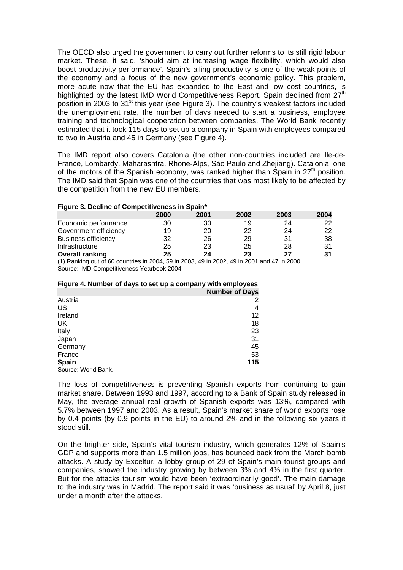The OECD also urged the government to carry out further reforms to its still rigid labour market. These, it said, 'should aim at increasing wage flexibility, which would also boost productivity performance'. Spain's ailing productivity is one of the weak points of the economy and a focus of the new government's economic policy. This problem, more acute now that the EU has expanded to the East and low cost countries, is highlighted by the latest IMD World Competitiveness Report. Spain declined from  $27<sup>th</sup>$ position in 2003 to 31<sup>st</sup> this year (see Figure 3). The country's weakest factors included the unemployment rate, the number of days needed to start a business, employee training and technological cooperation between companies. The World Bank recently estimated that it took 115 days to set up a company in Spain with employees compared to two in Austria and 45 in Germany (see Figure 4).

The IMD report also covers Catalonia (the other non-countries included are Ile-de-France, Lombardy, Maharashtra, Rhone-Alps, São Paulo and Zhejiang). Catalonia, one of the motors of the Spanish economy, was ranked higher than Spain in  $27<sup>th</sup>$  position. The IMD said that Spain was one of the countries that was most likely to be affected by the competition from the new EU members.

#### **Figure 3. Decline of Competitiveness in Spain\***

|                            | 2000 | 2001 | 2002 | 2003 | 2004 |
|----------------------------|------|------|------|------|------|
| Economic performance       | 30   | 30   | 19   | 24   | 22   |
| Government efficiency      | 19   | 20   | 22   | 24   | 22   |
| <b>Business efficiency</b> | 32   | 26   | 29   | 31   | 38   |
| Infrastructure             | 25   | 23   | 25   | 28   | 31   |
| <b>Overall ranking</b>     | 25   | 24   | 23   | 27   | 31   |

(1) Ranking out of 60 countries in 2004, 59 in 2003, 49 in 2002, 49 in 2001 and 47 in 2000. Source: IMD Competitiveness Yearbook 2004.

### **Figure 4. Number of days to set up a company with employees**

|                     | <b>Number of Days</b> |
|---------------------|-----------------------|
| Austria             | 2                     |
| US                  | 4                     |
| Ireland             | 12                    |
| UK                  | 18                    |
| Italy               | 23                    |
| Japan               | 31                    |
| Germany             | 45                    |
| France              | 53                    |
| Spain               | 115                   |
| Source: World Bank. |                       |

The loss of competitiveness is preventing Spanish exports from continuing to gain market share. Between 1993 and 1997, according to a Bank of Spain study released in May, the average annual real growth of Spanish exports was 13%, compared with 5.7% between 1997 and 2003. As a result, Spain's market share of world exports rose by 0.4 points (by 0.9 points in the EU) to around 2% and in the following six years it stood still.

On the brighter side, Spain's vital tourism industry, which generates 12% of Spain's GDP and supports more than 1.5 million jobs, has bounced back from the March bomb attacks. A study by Exceltur, a lobby group of 29 of Spain's main tourist groups and companies, showed the industry growing by between 3% and 4% in the first quarter. But for the attacks tourism would have been 'extraordinarily good'. The main damage to the industry was in Madrid. The report said it was 'business as usual' by April 8, just under a month after the attacks.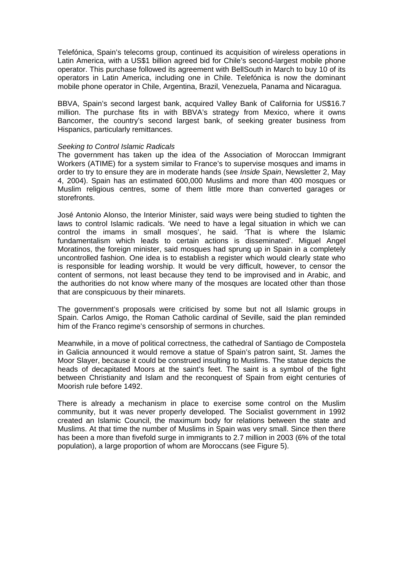Telefónica, Spain's telecoms group, continued its acquisition of wireless operations in Latin America, with a US\$1 billion agreed bid for Chile's second-largest mobile phone operator. This purchase followed its agreement with BellSouth in March to buy 10 of its operators in Latin America, including one in Chile. Telefónica is now the dominant mobile phone operator in Chile, Argentina, Brazil, Venezuela, Panama and Nicaragua.

BBVA, Spain's second largest bank, acquired Valley Bank of California for US\$16.7 million. The purchase fits in with BBVA's strategy from Mexico, where it owns Bancomer, the country's second largest bank, of seeking greater business from Hispanics, particularly remittances.

#### *Seeking to Control Islamic Radicals*

The government has taken up the idea of the Association of Moroccan Immigrant Workers (ATIME) for a system similar to France's to supervise mosques and imams in order to try to ensure they are in moderate hands (see *Inside Spain*, Newsletter 2, May 4, 2004). Spain has an estimated 600,000 Muslims and more than 400 mosques or Muslim religious centres, some of them little more than converted garages or storefronts.

José Antonio Alonso, the Interior Minister, said ways were being studied to tighten the laws to control Islamic radicals. 'We need to have a legal situation in which we can control the imams in small mosques', he said. 'That is where the Islamic fundamentalism which leads to certain actions is disseminated'. Miguel Angel Moratinos, the foreign minister, said mosques had sprung up in Spain in a completely uncontrolled fashion. One idea is to establish a register which would clearly state who is responsible for leading worship. It would be very difficult, however, to censor the content of sermons, not least because they tend to be improvised and in Arabic, and the authorities do not know where many of the mosques are located other than those that are conspicuous by their minarets.

The government's proposals were criticised by some but not all Islamic groups in Spain. Carlos Amigo, the Roman Catholic cardinal of Seville, said the plan reminded him of the Franco regime's censorship of sermons in churches.

Meanwhile, in a move of political correctness, the cathedral of Santiago de Compostela in Galicia announced it would remove a statue of Spain's patron saint, St. James the Moor Slayer, because it could be construed insulting to Muslims. The statue depicts the heads of decapitated Moors at the saint's feet. The saint is a symbol of the fight between Christianity and Islam and the reconquest of Spain from eight centuries of Moorish rule before 1492.

There is already a mechanism in place to exercise some control on the Muslim community, but it was never properly developed. The Socialist government in 1992 created an Islamic Council, the maximum body for relations between the state and Muslims. At that time the number of Muslims in Spain was very small. Since then there has been a more than fivefold surge in immigrants to 2.7 million in 2003 (6% of the total population), a large proportion of whom are Moroccans (see Figure 5).